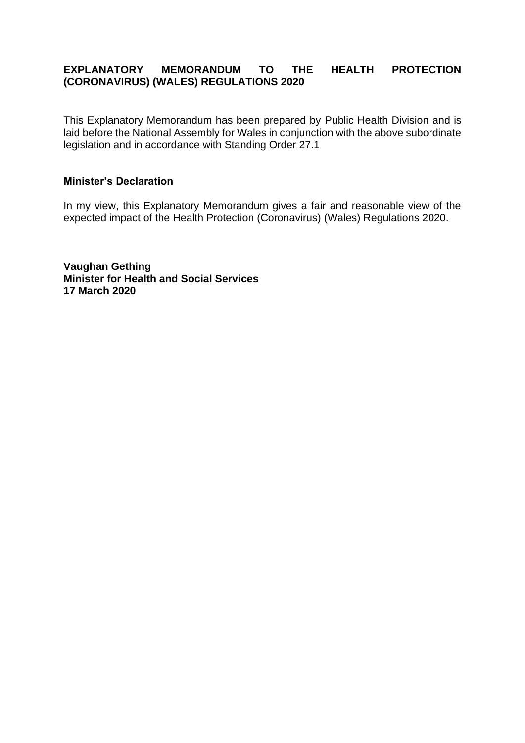# **EXPLANATORY MEMORANDUM TO THE HEALTH PROTECTION (CORONAVIRUS) (WALES) REGULATIONS 2020**

This Explanatory Memorandum has been prepared by Public Health Division and is laid before the National Assembly for Wales in conjunction with the above subordinate legislation and in accordance with Standing Order 27.1

#### **Minister's Declaration**

In my view, this Explanatory Memorandum gives a fair and reasonable view of the expected impact of the Health Protection (Coronavirus) (Wales) Regulations 2020.

**Vaughan Gething Minister for Health and Social Services 17 March 2020**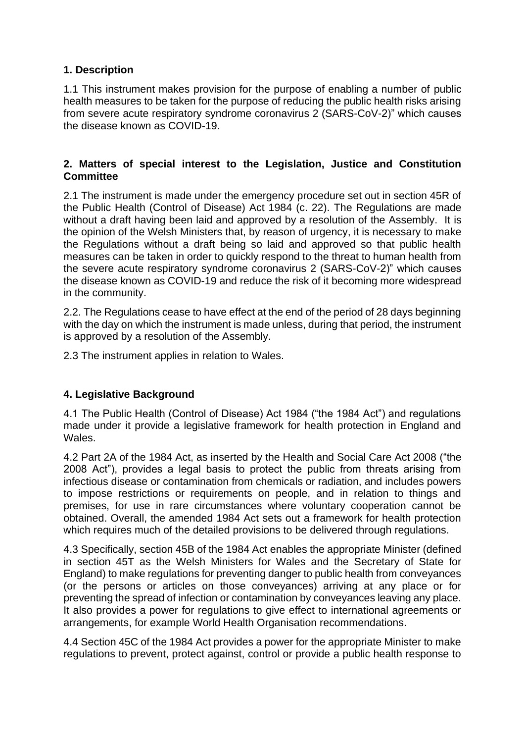# **1. Description**

1.1 This instrument makes provision for the purpose of enabling a number of public health measures to be taken for the purpose of reducing the public health risks arising from severe acute respiratory syndrome coronavirus 2 (SARS-CoV-2)" which causes the disease known as COVID-19.

### **2. Matters of special interest to the Legislation, Justice and Constitution Committee**

2.1 The instrument is made under the emergency procedure set out in section 45R of the Public Health (Control of Disease) Act 1984 (c. 22). The Regulations are made without a draft having been laid and approved by a resolution of the Assembly. It is the opinion of the Welsh Ministers that, by reason of urgency, it is necessary to make the Regulations without a draft being so laid and approved so that public health measures can be taken in order to quickly respond to the threat to human health from the severe acute respiratory syndrome coronavirus 2 (SARS-CoV-2)" which causes the disease known as COVID-19 and reduce the risk of it becoming more widespread in the community.

2.2. The Regulations cease to have effect at the end of the period of 28 days beginning with the day on which the instrument is made unless, during that period, the instrument is approved by a resolution of the Assembly.

2.3 The instrument applies in relation to Wales.

#### **4. Legislative Background**

4.1 The Public Health (Control of Disease) Act 1984 ("the 1984 Act") and regulations made under it provide a legislative framework for health protection in England and Wales.

4.2 Part 2A of the 1984 Act, as inserted by the Health and Social Care Act 2008 ("the 2008 Act"), provides a legal basis to protect the public from threats arising from infectious disease or contamination from chemicals or radiation, and includes powers to impose restrictions or requirements on people, and in relation to things and premises, for use in rare circumstances where voluntary cooperation cannot be obtained. Overall, the amended 1984 Act sets out a framework for health protection which requires much of the detailed provisions to be delivered through regulations.

4.3 Specifically, section 45B of the 1984 Act enables the appropriate Minister (defined in section 45T as the Welsh Ministers for Wales and the Secretary of State for England) to make regulations for preventing danger to public health from conveyances (or the persons or articles on those conveyances) arriving at any place or for preventing the spread of infection or contamination by conveyances leaving any place. It also provides a power for regulations to give effect to international agreements or arrangements, for example World Health Organisation recommendations.

4.4 Section 45C of the 1984 Act provides a power for the appropriate Minister to make regulations to prevent, protect against, control or provide a public health response to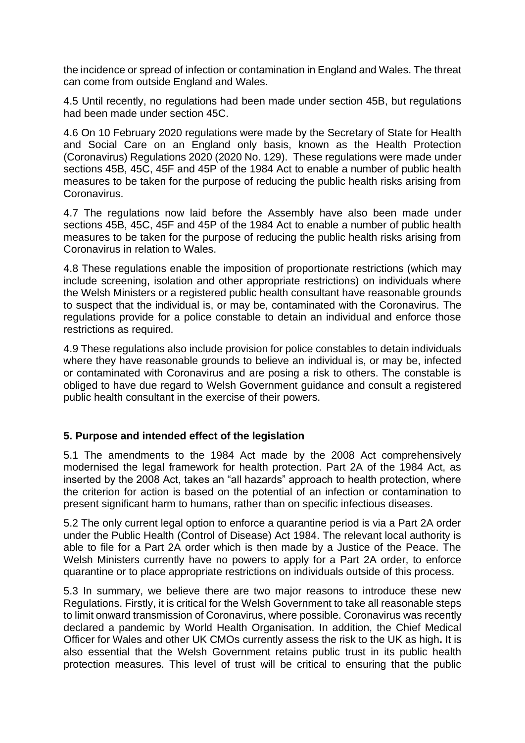the incidence or spread of infection or contamination in England and Wales. The threat can come from outside England and Wales.

4.5 Until recently, no regulations had been made under section 45B, but regulations had been made under section 45C.

4.6 On 10 February 2020 regulations were made by the Secretary of State for Health and Social Care on an England only basis, known as the Health Protection (Coronavirus) Regulations 2020 (2020 No. 129). These regulations were made under sections 45B, 45C, 45F and 45P of the 1984 Act to enable a number of public health measures to be taken for the purpose of reducing the public health risks arising from Coronavirus.

4.7 The regulations now laid before the Assembly have also been made under sections 45B, 45C, 45F and 45P of the 1984 Act to enable a number of public health measures to be taken for the purpose of reducing the public health risks arising from Coronavirus in relation to Wales.

4.8 These regulations enable the imposition of proportionate restrictions (which may include screening, isolation and other appropriate restrictions) on individuals where the Welsh Ministers or a registered public health consultant have reasonable grounds to suspect that the individual is, or may be, contaminated with the Coronavirus. The regulations provide for a police constable to detain an individual and enforce those restrictions as required.

4.9 These regulations also include provision for police constables to detain individuals where they have reasonable grounds to believe an individual is, or may be, infected or contaminated with Coronavirus and are posing a risk to others. The constable is obliged to have due regard to Welsh Government guidance and consult a registered public health consultant in the exercise of their powers.

# **5. Purpose and intended effect of the legislation**

5.1 The amendments to the 1984 Act made by the 2008 Act comprehensively modernised the legal framework for health protection. Part 2A of the 1984 Act, as inserted by the 2008 Act, takes an "all hazards" approach to health protection, where the criterion for action is based on the potential of an infection or contamination to present significant harm to humans, rather than on specific infectious diseases.

5.2 The only current legal option to enforce a quarantine period is via a Part 2A order under the Public Health (Control of Disease) Act 1984. The relevant local authority is able to file for a Part 2A order which is then made by a Justice of the Peace. The Welsh Ministers currently have no powers to apply for a Part 2A order, to enforce quarantine or to place appropriate restrictions on individuals outside of this process.

5.3 In summary, we believe there are two major reasons to introduce these new Regulations. Firstly, it is critical for the Welsh Government to take all reasonable steps to limit onward transmission of Coronavirus, where possible. Coronavirus was recently declared a pandemic by World Health Organisation. In addition, the Chief Medical Officer for Wales and other UK CMOs currently assess the risk to the UK as high**.** It is also essential that the Welsh Government retains public trust in its public health protection measures. This level of trust will be critical to ensuring that the public